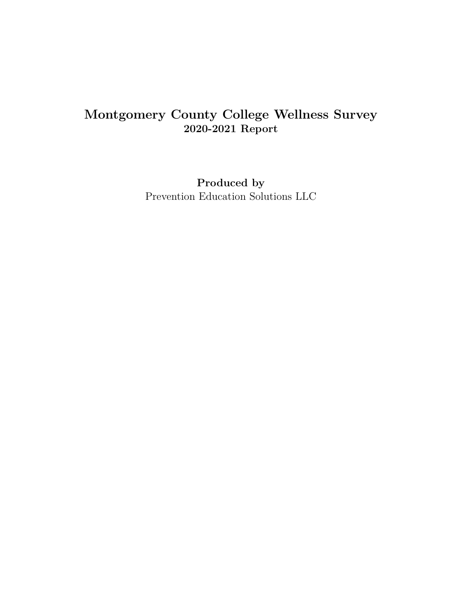# **Montgomery County College Wellness Survey 2020-2021 Report**

**Produced by** Prevention Education Solutions LLC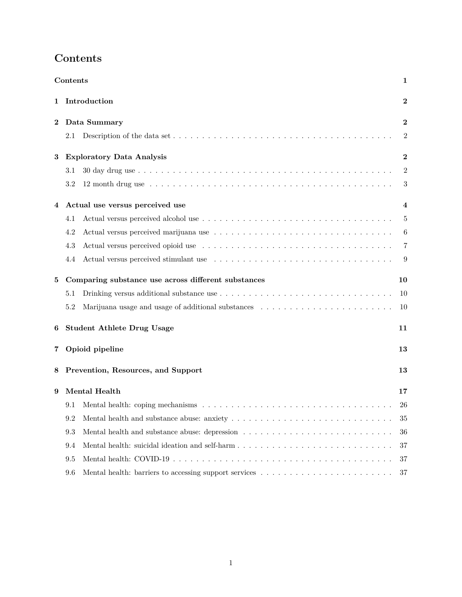<span id="page-1-0"></span>

|   | Contents |                                                                                                                         | 1              |
|---|----------|-------------------------------------------------------------------------------------------------------------------------|----------------|
| 1 |          | Introduction                                                                                                            | $\bf{2}$       |
| 2 |          | Data Summary                                                                                                            | $\bf{2}$       |
|   | 2.1      | Description of the data set $\dots \dots \dots \dots \dots \dots \dots \dots \dots \dots \dots \dots \dots \dots \dots$ | $\overline{2}$ |
| 3 |          | <b>Exploratory Data Analysis</b>                                                                                        | $\mathbf 2$    |
|   | 3.1      |                                                                                                                         | 2              |
|   | 3.2      |                                                                                                                         | 3              |
| 4 |          | Actual use versus perceived use                                                                                         | 4              |
|   | 4.1      |                                                                                                                         | $\overline{5}$ |
|   | 4.2      |                                                                                                                         | 6              |
|   | 4.3      |                                                                                                                         | 7              |
|   | 4.4      |                                                                                                                         | 9              |
| 5 |          | Comparing substance use across different substances                                                                     | 10             |
|   | 5.1      |                                                                                                                         | 10             |
|   | 5.2      |                                                                                                                         | 10             |
| 6 |          | <b>Student Athlete Drug Usage</b>                                                                                       | 11             |
| 7 |          | Opioid pipeline                                                                                                         | 13             |
| 8 |          | Prevention, Resources, and Support                                                                                      | 13             |
| 9 |          | Mental Health                                                                                                           | 17             |
|   | 9.1      |                                                                                                                         | 26             |
|   | 9.2      |                                                                                                                         | 35             |
|   | 9.3      |                                                                                                                         | 36             |
|   | 9.4      |                                                                                                                         | 37             |
|   | 9.5      |                                                                                                                         | 37             |
|   | 9.6      |                                                                                                                         | 37             |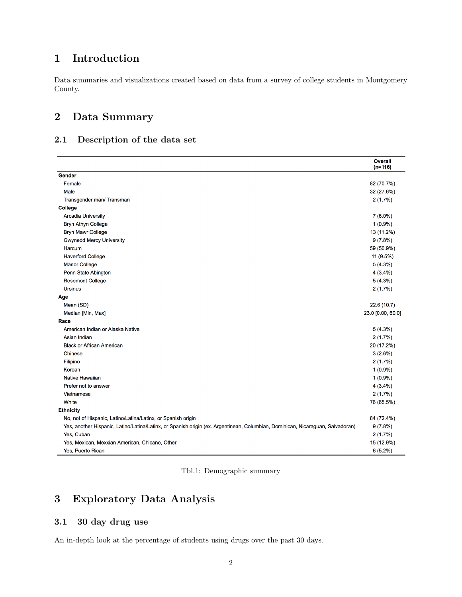# <span id="page-2-0"></span>**1 Introduction**

Data summaries and visualizations created based on data from a survey of college students in Montgomery County.

## <span id="page-2-1"></span>**2 Data Summary**

### <span id="page-2-2"></span>**2.1 Description of the data set**

|                                                                                                                                | <b>Overall</b><br>$(n=116)$ |
|--------------------------------------------------------------------------------------------------------------------------------|-----------------------------|
| Gender                                                                                                                         |                             |
| Female                                                                                                                         | 82 (70.7%)                  |
| Male                                                                                                                           | 32 (27.6%)                  |
| Transgender man/ Transman                                                                                                      | 2(1.7%)                     |
| <b>College</b>                                                                                                                 |                             |
| <b>Arcadia University</b>                                                                                                      | $7(6.0\%)$                  |
| <b>Bryn Athyn College</b>                                                                                                      | $1(0.9\%)$                  |
| <b>Bryn Mawr College</b>                                                                                                       | 13 (11.2%)                  |
| <b>Gwynedd Mercy University</b>                                                                                                | 9(7.8%)                     |
| Harcum                                                                                                                         | 59 (50.9%)                  |
| <b>Haverford College</b>                                                                                                       | 11 (9.5%)                   |
| <b>Manor College</b>                                                                                                           | 5(4.3%)                     |
| Penn State Abington                                                                                                            | 4(3.4%)                     |
| <b>Rosemont College</b>                                                                                                        | 5(4.3%)                     |
| <b>Ursinus</b>                                                                                                                 | 2(1.7%)                     |
| Age                                                                                                                            |                             |
| Mean (SD)                                                                                                                      | 22.6 (10.7)                 |
| Median [Min, Max]                                                                                                              | 23.0 [0.00, 60.0]           |
| Race                                                                                                                           |                             |
| American Indian or Alaska Native                                                                                               | 5(4.3%)                     |
| Asian Indian                                                                                                                   | 2(1.7%)                     |
| <b>Black or African American</b>                                                                                               | 20 (17.2%)                  |
| <b>Chinese</b>                                                                                                                 | 3(2.6%)                     |
| Filipino                                                                                                                       | 2(1.7%)                     |
| Korean                                                                                                                         | $1(0.9\%)$                  |
| Native Hawaiian                                                                                                                | $1(0.9\%)$                  |
| Prefer not to answer                                                                                                           | 4(3.4%)                     |
| Vietnamese                                                                                                                     | 2(1.7%)                     |
| White                                                                                                                          | 76 (65.5%)                  |
| <b>Ethnicity</b>                                                                                                               |                             |
| No, not of Hispanic, Latino/Latina/Latinx, or Spanish origin                                                                   | 84 (72.4%)                  |
| Yes, another Hispanic, Latino/Latina/Latinx, or Spanish origin (ex. Argentinean, Columbian, Dominican, Nicaraguan, Salvadoran) | 9(7.8%)                     |
| Yes, Cuban                                                                                                                     | 2(1.7%)                     |
| Yes, Mexican, Mexxian American, Chicano, Other                                                                                 | 15 (12.9%)                  |
| Yes, Puerto Rican                                                                                                              | 6(5.2%)                     |

# <span id="page-2-3"></span>**3 Exploratory Data Analysis**

### <span id="page-2-4"></span>**3.1 30 day drug use**

An in-depth look at the percentage of students using drugs over the past 30 days.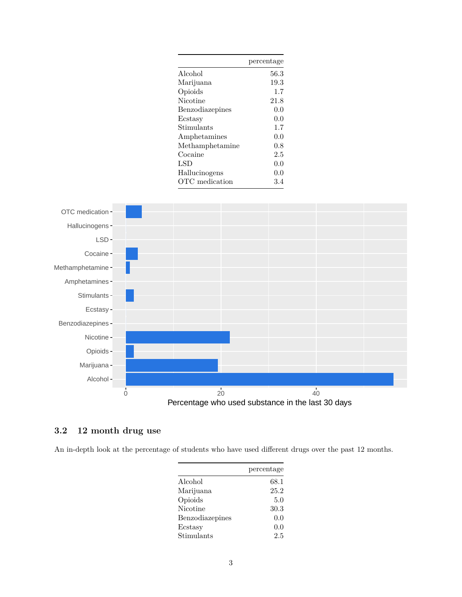|                          | percentage |
|--------------------------|------------|
| Alcohol                  | 56.3       |
| Marijuana                | 19.3       |
| Opioids                  | 1.7        |
| Nicotine                 | 21.8       |
| Benzodiazepines          | 0.0        |
| Ecstasy                  | 0.0        |
| Stimulants               | 1.7        |
| Amphetamines             | 0.0        |
| Methamphetamine          | 0.8        |
| $\operatorname{Cocaine}$ | 2.5        |
| $_{\rm LSD}$             | 0.0        |
| Hallucinogens            | 0.0        |
| OTC medication           | 3.4        |
|                          |            |



### <span id="page-3-0"></span>**3.2 12 month drug use**

An in-depth look at the percentage of students who have used different drugs over the past 12 months.

|                 | percentage |
|-----------------|------------|
| Alcohol         | 68.1       |
| Marijuana       | 25.2       |
| Opioids         | 5.0        |
| Nicotine        | 30.3       |
| Benzodiazepines | 0.0        |
| Ecstasy         | 0.0        |
| Stimulants      | 2.5        |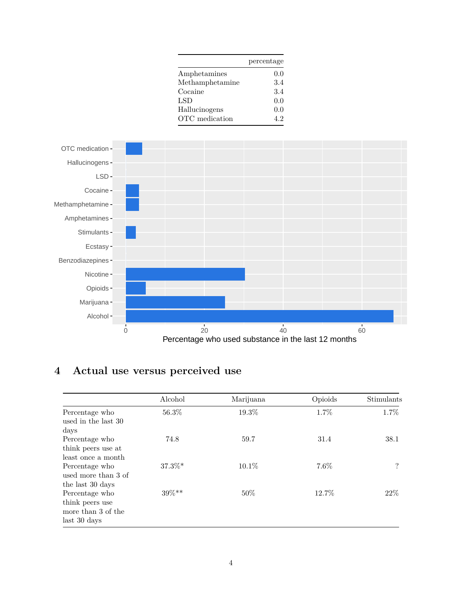|                          | percentage |
|--------------------------|------------|
| Amphetamines             | 0.0        |
| Methamphetamine          | 3.4        |
| $\operatorname{Cocaine}$ | 3.4        |
| LSD                      | 0.0        |
| Hallucinogens            | 0.0        |
| OTC medication           | 4.2        |



# <span id="page-4-0"></span>**4 Actual use versus perceived use**

|                                                                         | Alcohol   | Marijuana | Opioids | Stimulants |
|-------------------------------------------------------------------------|-----------|-----------|---------|------------|
| Percentage who<br>used in the last 30<br>days                           | 56.3%     | 19.3%     | 1.7%    | 1.7%       |
| Percentage who<br>think peers use at<br>least once a month              | 74.8      | 59.7      | 31.4    | 38.1       |
| Percentage who<br>used more than 3 of<br>the last 30 days               | $37.3\%*$ | $10.1\%$  | $7.6\%$ | $\ddot{?}$ |
| Percentage who<br>think peers use<br>more than 3 of the<br>last 30 days | 39%**     | 50%       | 12.7%   | 22%        |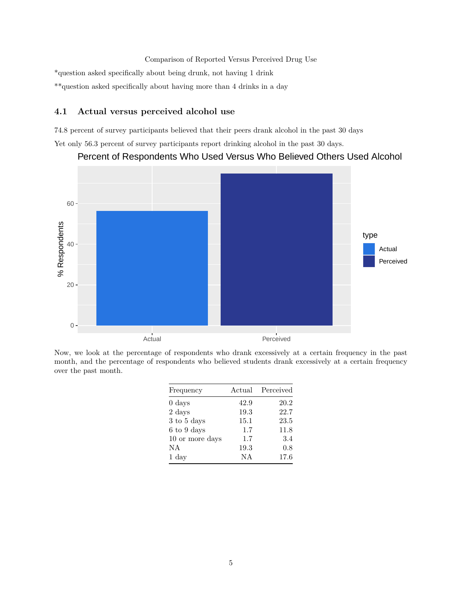Comparison of Reported Versus Perceived Drug Use \*question asked specifically about being drunk, not having 1 drink \*\*question asked specifically about having more than 4 drinks in a day

#### <span id="page-5-0"></span>**4.1 Actual versus perceived alcohol use**

74.8 percent of survey participants believed that their peers drank alcohol in the past 30 days

Yet only 56.3 percent of survey participants report drinking alcohol in the past 30 days.



Percent of Respondents Who Used Versus Who Believed Others Used Alcohol

Now, we look at the percentage of respondents who drank excessively at a certain frequency in the past month, and the percentage of respondents who believed students drank excessively at a certain frequency over the past month.

| Frequency        |      | Actual Perceived |
|------------------|------|------------------|
| $0 \text{ days}$ | 42.9 | 20.2             |
| $2 \;{\rm days}$ | 19.3 | 22.7             |
| 3 to 5 days      | 15.1 | 23.5             |
| 6 to 9 days      | 1.7  | 11.8             |
| 10 or more days  | 1.7  | 3.4              |
| NA               | 19.3 | 0.8              |
| $1 \mathrm{day}$ | ΝA   | 17.6             |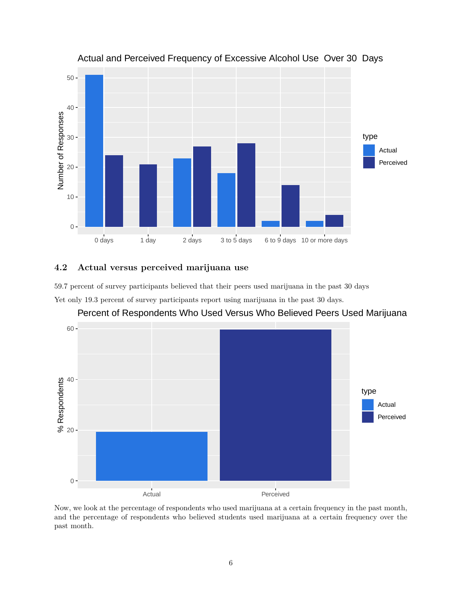

### Actual and Perceived Frequency of Excessive Alcohol Use Over 30 Days

### <span id="page-6-0"></span>**4.2 Actual versus perceived marijuana use**

59.7 percent of survey participants believed that their peers used marijuana in the past 30 days

Yet only 19.3 percent of survey participants report using marijuana in the past 30 days.



### Percent of Respondents Who Used Versus Who Believed Peers Used Marijuana

Now, we look at the percentage of respondents who used marijuana at a certain frequency in the past month, and the percentage of respondents who believed students used marijuana at a certain frequency over the past month.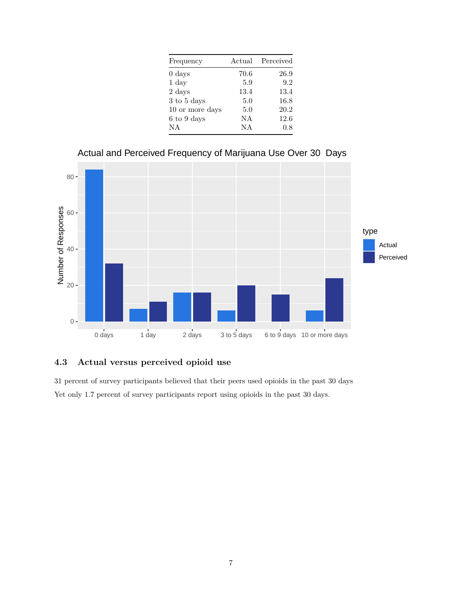| Frequency        |      | Actual Perceived |
|------------------|------|------------------|
| $0 \text{ days}$ | 70.6 | 26.9             |
| $1 \mathrm{day}$ | 5.9  | 9.2              |
| $2 \;{\rm days}$ | 13.4 | 13.4             |
| 3 to 5 days      | 5.0  | 16.8             |
| 10 or more days  | 5.0  | 20.2             |
| 6 to 9 days      | NA   | 12.6             |
| NA               | NA   | 0.8              |





### <span id="page-7-0"></span>**4.3 Actual versus perceived opioid use**

31 percent of survey participants believed that their peers used opioids in the past 30 days Yet only 1.7 percent of survey participants report using opioids in the past 30 days.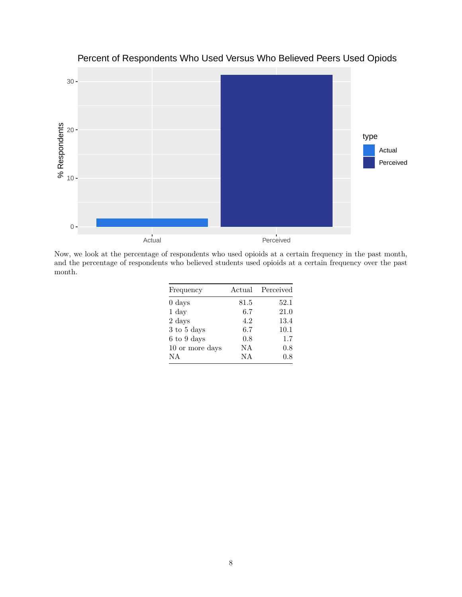

Percent of Respondents Who Used Versus Who Believed Peers Used Opiods

Now, we look at the percentage of respondents who used opioids at a certain frequency in the past month, and the percentage of respondents who believed students used opioids at a certain frequency over the past month.

| Frequency        |      | Actual Perceived |
|------------------|------|------------------|
| $0 \text{ days}$ | 81.5 | 52.1             |
| $1 \mathrm{day}$ | 6.7  | 21.0             |
| 2 days           | 4.2  | 13.4             |
| 3 to 5 days      | 6.7  | 10.1             |
| 6 to 9 days      | 0.8  | 1.7              |
| 10 or more days  | NА   | 0.8              |
| NA               | ΝA   | 0.8              |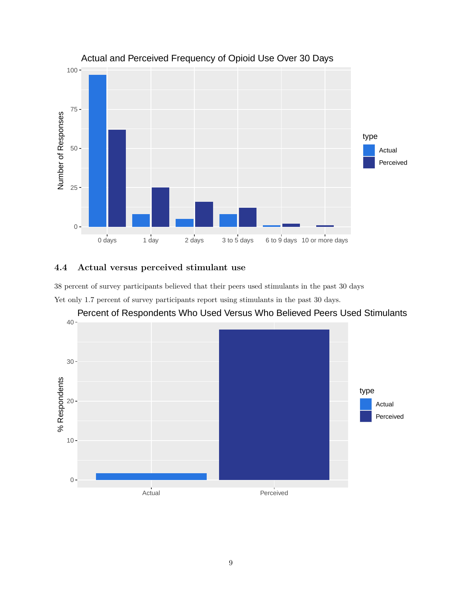

### Actual and Perceived Frequency of Opioid Use Over 30 Days

### <span id="page-9-0"></span>**4.4 Actual versus perceived stimulant use**

38 percent of survey participants believed that their peers used stimulants in the past 30 days

Yet only 1.7 percent of survey participants report using stimulants in the past 30 days.



Percent of Respondents Who Used Versus Who Believed Peers Used Stimulants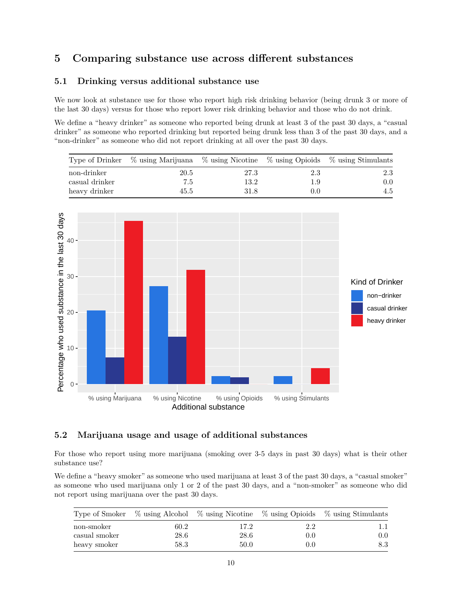# <span id="page-10-0"></span>**5 Comparing substance use across different substances**

#### <span id="page-10-1"></span>**5.1 Drinking versus additional substance use**

We now look at substance use for those who report high risk drinking behavior (being drunk 3 or more of the last 30 days) versus for those who report lower risk drinking behavior and those who do not drink.

We define a "heavy drinker" as someone who reported being drunk at least 3 of the past 30 days, a "casual" drinker" as someone who reported drinking but reported being drunk less than 3 of the past 30 days, and a "non-drinker" as someone who did not report drinking at all over the past 30 days.

|                | Type of Drinker % using Marijuana % using Nicotine % using Opioids % using Stimulants |      |       |     |
|----------------|---------------------------------------------------------------------------------------|------|-------|-----|
| non-drinker    | 20.5                                                                                  | 27.3 | -2.3  | 2.3 |
| casual drinker | 7.5                                                                                   | 13.2 | 1.9   | 0.0 |
| heavy drinker  | 45.5                                                                                  | 31.8 | (0.0) | 4.5 |



#### <span id="page-10-2"></span>**5.2 Marijuana usage and usage of additional substances**

For those who report using more marijuana (smoking over 3-5 days in past 30 days) what is their other substance use?

We define a "heavy smoker" as someone who used marijuana at least 3 of the past 30 days, a "casual smoker" as someone who used marijuana only 1 or 2 of the past 30 days, and a "non-smoker" as someone who did not report using marijuana over the past 30 days.

|               |      |      |     | Type of Smoker % using Alcohol % using Nicotine % using Opioids % using Stimulants |
|---------------|------|------|-----|------------------------------------------------------------------------------------|
| non-smoker    | 60.2 | 17.2 | 2.2 |                                                                                    |
| casual smoker | 28.6 | 28.6 | 0.0 | $0.0\,$                                                                            |
| heavy smoker  | 58.3 | 50.0 | 0.0 | 8.3                                                                                |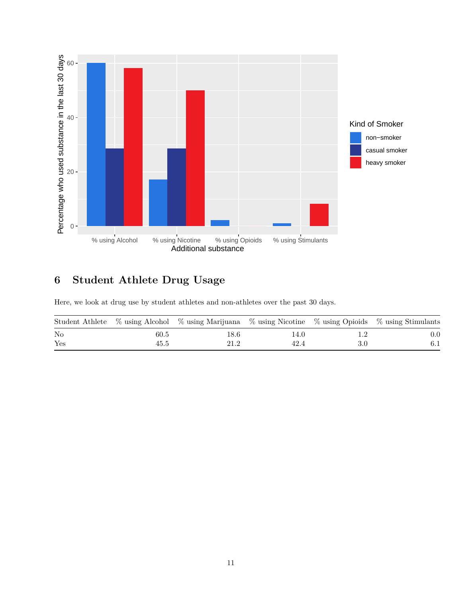

# <span id="page-11-0"></span>**6 Student Athlete Drug Usage**

Here, we look at drug use by student athletes and non-athletes over the past 30 days.

|          |      | Student Athlete % using Alcohol % using Marijuana % using Nicotine % using Opioids % using Stimulants |      |     |         |
|----------|------|-------------------------------------------------------------------------------------------------------|------|-----|---------|
| $\rm No$ | 60.5 | l8.6                                                                                                  | 14.U |     | $0.0\,$ |
| Yes      | 45.5 | 21.2                                                                                                  | 42.4 | 3.0 |         |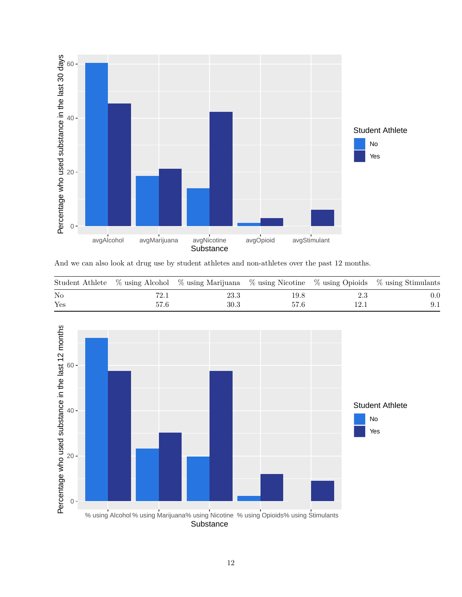

And we can also look at drug use by student athletes and non-athletes over the past 12 months.

|     |      | Student Athlete % using Alcohol % using Marijuana % using Nicotine % using Opioids % using Stimulants |      |     |         |
|-----|------|-------------------------------------------------------------------------------------------------------|------|-----|---------|
| No  | 72.1 | 23.3                                                                                                  | 19.8 | 2.3 | $0.0\,$ |
| Yes | 57.6 | 30.3                                                                                                  | 57.6 |     |         |

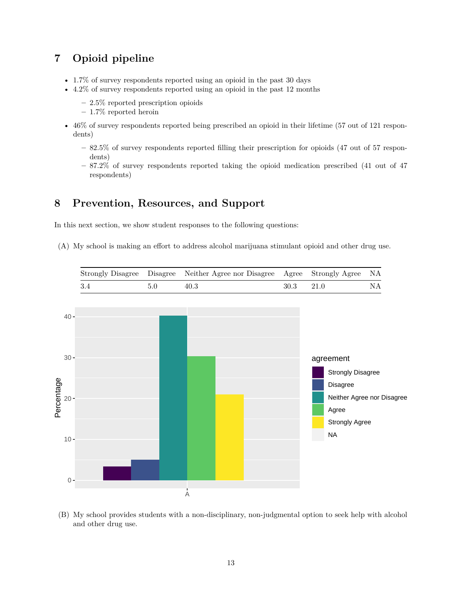# <span id="page-13-0"></span>**7 Opioid pipeline**

- 1.7% of survey respondents reported using an opioid in the past 30 days
- 4.2% of survey respondents reported using an opioid in the past 12 months
	- **–** 2.5% reported prescription opioids
	- **–** 1.7% reported heroin
- 46% of survey respondents reported being prescribed an opioid in their lifetime (57 out of 121 respondents)
	- **–** 82.5% of survey respondents reported filling their prescription for opioids (47 out of 57 respondents)
	- **–** 87.2% of survey respondents reported taking the opioid medication prescribed (41 out of 47 respondents)

## <span id="page-13-1"></span>**8 Prevention, Resources, and Support**

In this next section, we show student responses to the following questions:

(A) My school is making an effort to address alcohol marijuana stimulant opioid and other drug use.



(B) My school provides students with a non-disciplinary, non-judgmental option to seek help with alcohol and other drug use.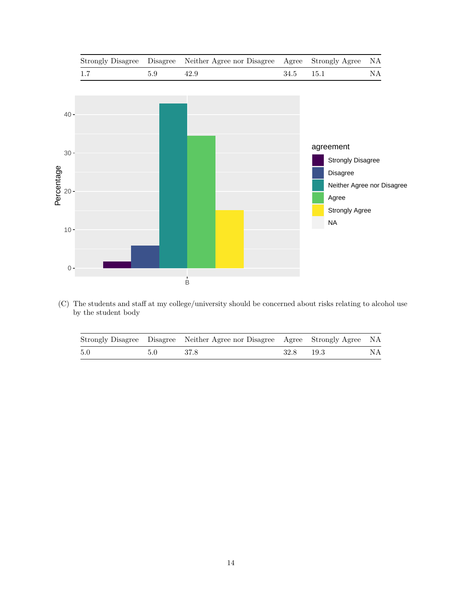

(C) The students and staff at my college/university should be concerned about risks relating to alcohol use by the student body

|     |               | Strongly Disagree Disagree Neither Agree nor Disagree Agree Strongly Agree NA |      |        |    |
|-----|---------------|-------------------------------------------------------------------------------|------|--------|----|
| 5.0 | $5.0^{\circ}$ | -37.8                                                                         | 32.8 | - 19.3 | NΑ |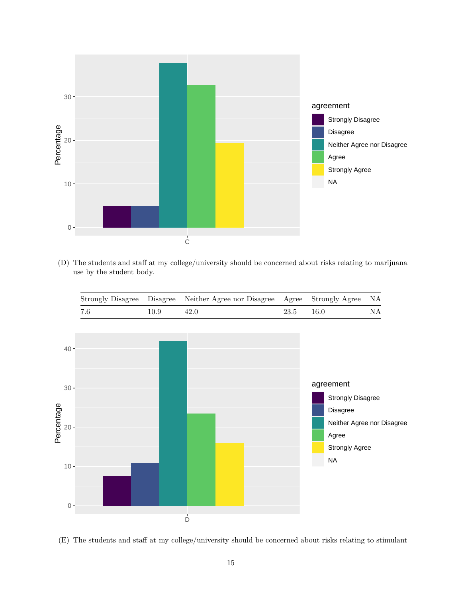

(D) The students and staff at my college/university should be concerned about risks relating to marijuana use by the student body.



(E) The students and staff at my college/university should be concerned about risks relating to stimulant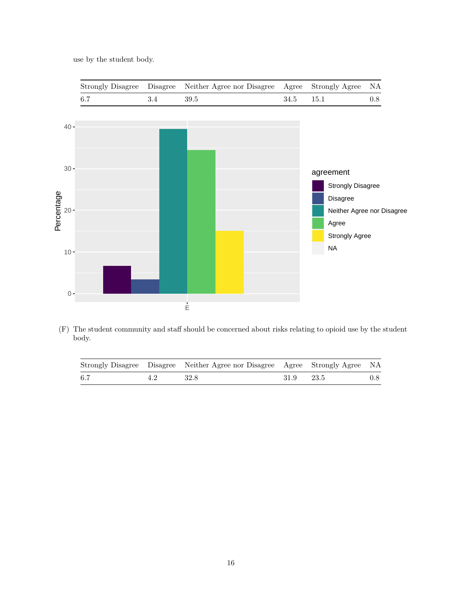use by the student body.



(F) The student community and staff should be concerned about risks relating to opioid use by the student body.

|     | Strongly Disagree Disagree Neither Agree nor Disagree Agree Strongly Agree NA |           |  |
|-----|-------------------------------------------------------------------------------|-----------|--|
| 6.7 | - 32.8                                                                        | 31.9 23.5 |  |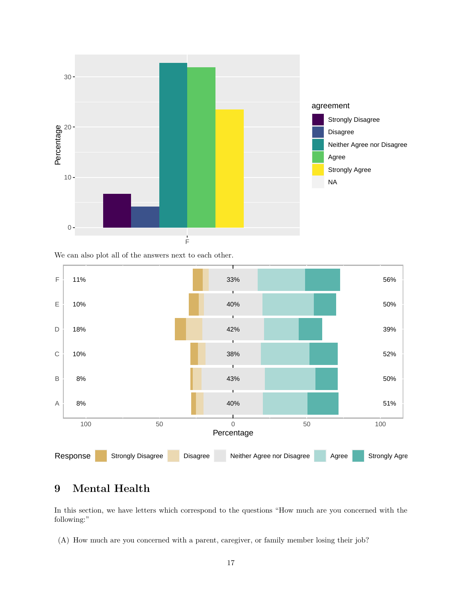

We can also plot all of the answers next to each other.



# <span id="page-17-0"></span>**9 Mental Health**

In this section, we have letters which correspond to the questions "How much are you concerned with the following:"

(A) How much are you concerned with a parent, caregiver, or family member losing their job?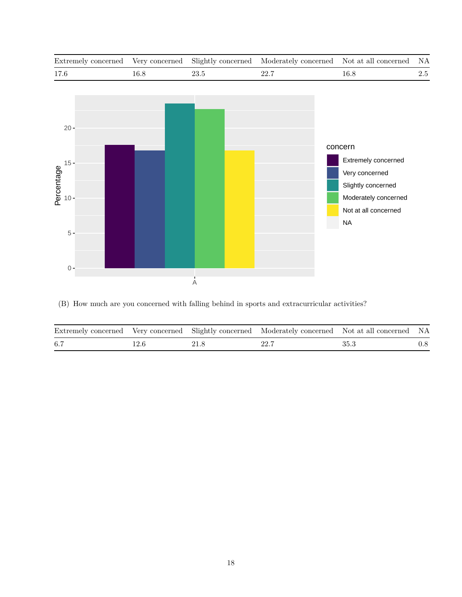

(B) How much are you concerned with falling behind in sports and extracurricular activities?

|     |      | Extremely concerned Very concerned Slightly concerned Moderately concerned Not at all concerned NA |        |     |
|-----|------|----------------------------------------------------------------------------------------------------|--------|-----|
| 6.7 | 21.8 | 22.7                                                                                               | - 35.3 | 0.8 |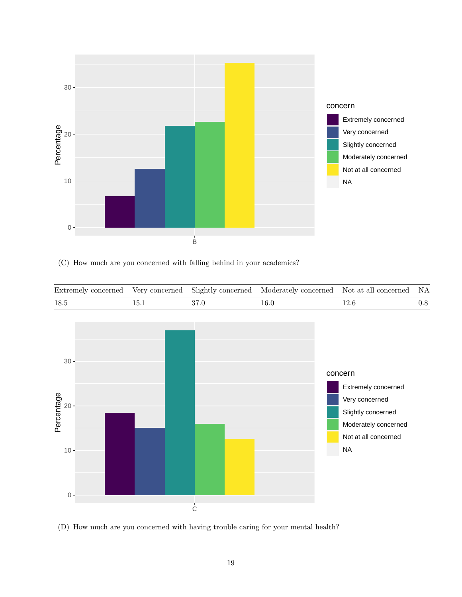

(C) How much are you concerned with falling behind in your academics?



(D) How much are you concerned with having trouble caring for your mental health?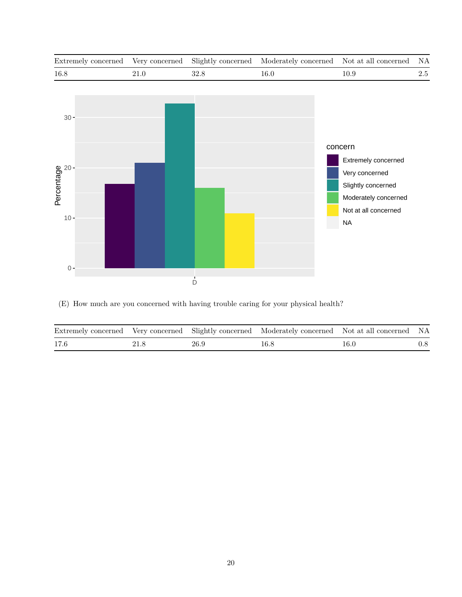

(E) How much are you concerned with having trouble caring for your physical health?

|      |      |      | Extremely concerned Very concerned Slightly concerned Moderately concerned Not at all concerned NA |      |     |
|------|------|------|----------------------------------------------------------------------------------------------------|------|-----|
| 17.6 | 21.8 | 26.9 | 16.8                                                                                               | 16.0 | 0.8 |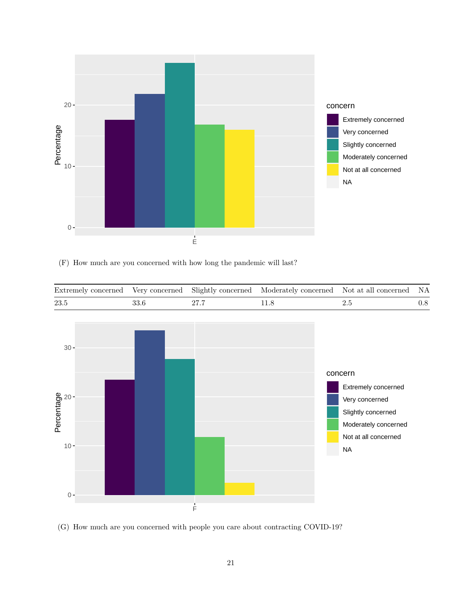

(F) How much are you concerned with how long the pandemic will last?



(G) How much are you concerned with people you care about contracting COVID-19?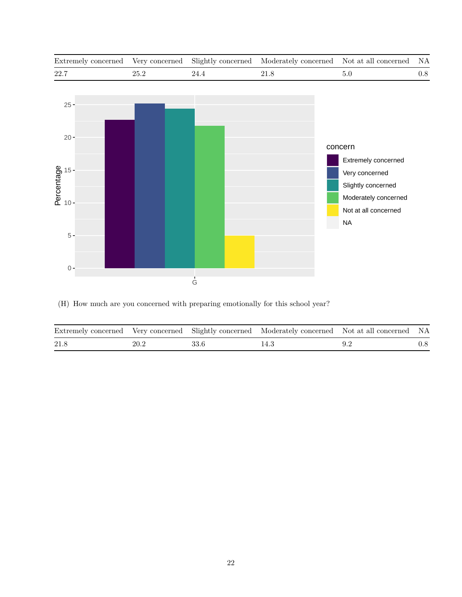

(H) How much are you concerned with preparing emotionally for this school year?

|      |      |        | Extremely concerned Very concerned Slightly concerned Moderately concerned Not at all concerned NA |         |
|------|------|--------|----------------------------------------------------------------------------------------------------|---------|
| 21.8 | 20.2 | - 33.6 | 14.3                                                                                               | $0.8\,$ |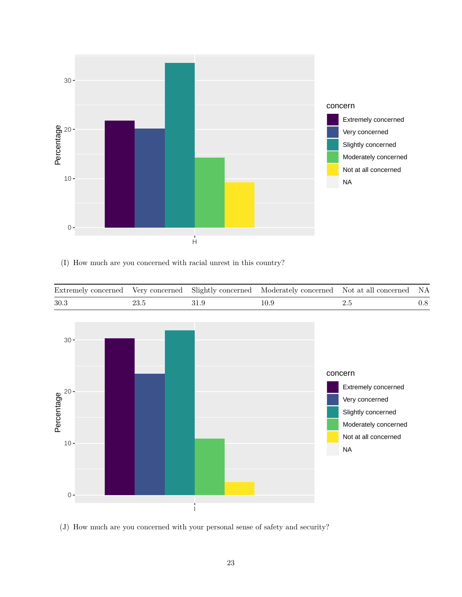

(I) How much are you concerned with racial unrest in this country?



(J) How much are you concerned with your personal sense of safety and security?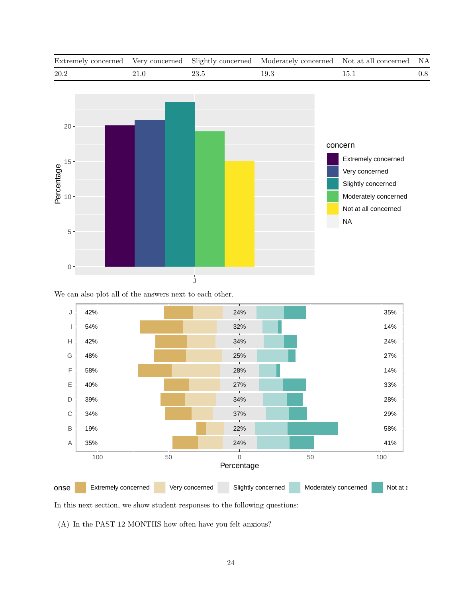

We can also plot all of the answers next to each other.



In this next section, we show student responses to the following questions:

(A) In the PAST 12 MONTHS how often have you felt anxious?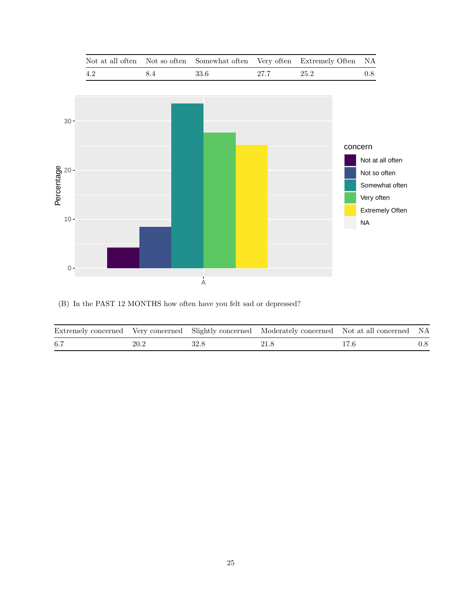

(B) In the PAST 12 MONTHS how often have you felt sad or depressed?

|     |      |      | Extremely concerned Very concerned Slightly concerned Moderately concerned Not at all concerned NA |      |         |
|-----|------|------|----------------------------------------------------------------------------------------------------|------|---------|
| 6.7 | 20.2 | 32.8 | 21.8                                                                                               | 17.6 | $0.8\,$ |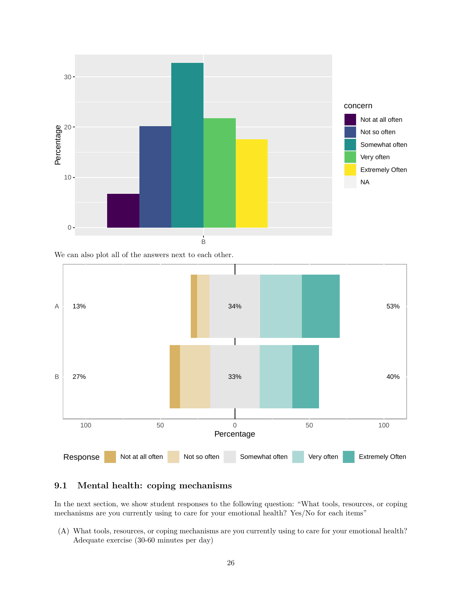

We can also plot all of the answers next to each other.



### <span id="page-26-0"></span>**9.1 Mental health: coping mechanisms**

In the next section, we show student responses to the following question: "What tools, resources, or coping mechanisms are you currently using to care for your emotional health? Yes/No for each items"

(A) What tools, resources, or coping mechanisms are you currently using to care for your emotional health? Adequate exercise (30-60 minutes per day)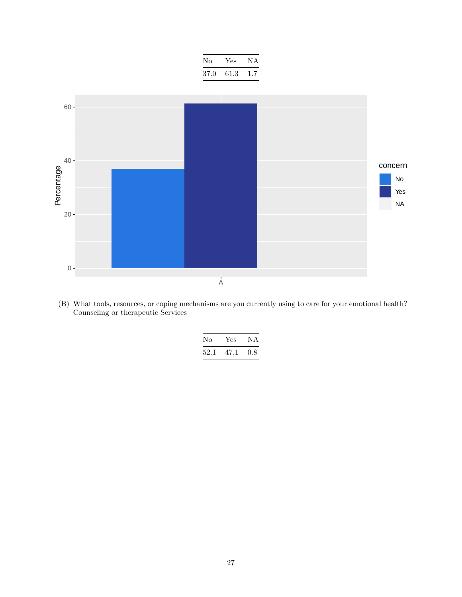| No.  | Yes. | N A    |
|------|------|--------|
| 37.0 | 61.3 | $-1.7$ |



(B) What tools, resources, or coping mechanisms are you currently using to care for your emotional health? Counseling or therapeutic Services

| Nο   | Yes  | ΝA  |
|------|------|-----|
| 52.1 | 47.1 | 0.8 |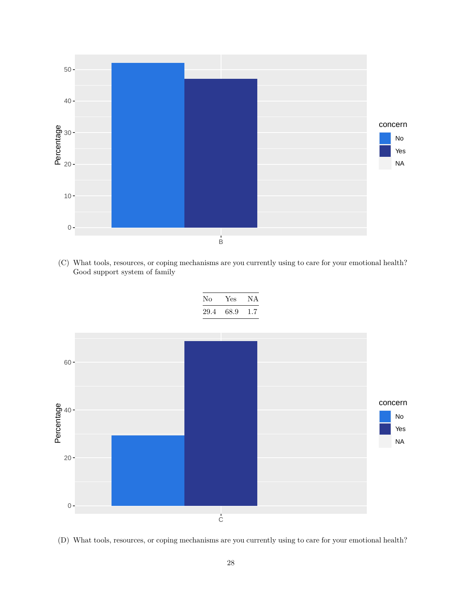

(C) What tools, resources, or coping mechanisms are you currently using to care for your emotional health? Good support system of family



(D) What tools, resources, or coping mechanisms are you currently using to care for your emotional health?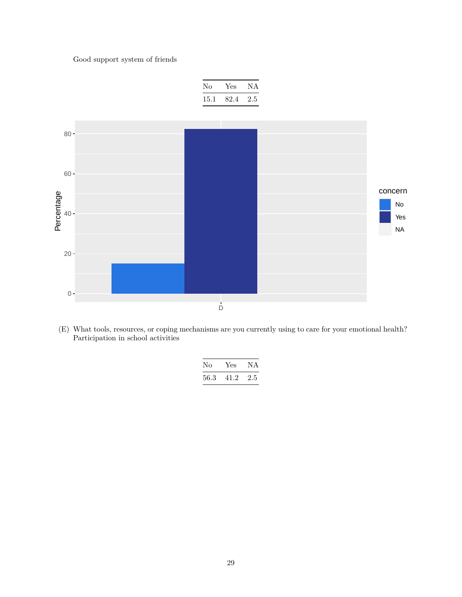### Good support system of friends



(E) What tools, resources, or coping mechanisms are you currently using to care for your emotional health? Participation in school activities

| No   | Yes. | N A |
|------|------|-----|
| 56.3 | 41.2 | 2.5 |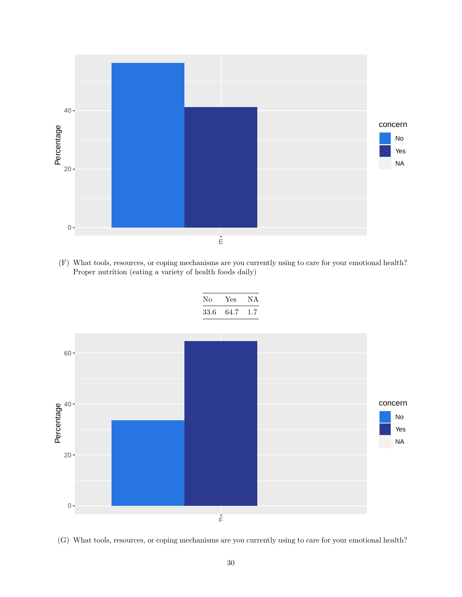

(F) What tools, resources, or coping mechanisms are you currently using to care for your emotional health? Proper nutrition (eating a variety of health foods daily)



(G) What tools, resources, or coping mechanisms are you currently using to care for your emotional health?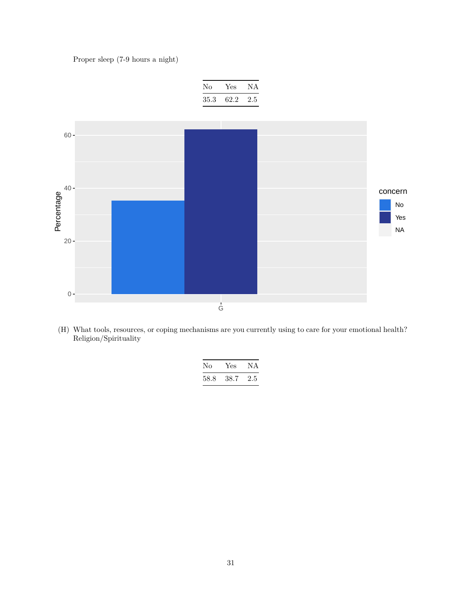Proper sleep (7-9 hours a night)



(H) What tools, resources, or coping mechanisms are you currently using to care for your emotional health? Religion/Spirituality

| Nο   | Yes  | N A     |
|------|------|---------|
| 58.8 | 38.7 | $2.5\,$ |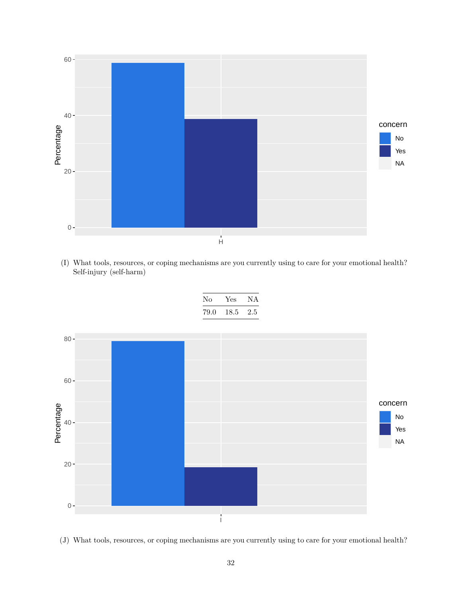

(I) What tools, resources, or coping mechanisms are you currently using to care for your emotional health? Self-injury (self-harm)



(J) What tools, resources, or coping mechanisms are you currently using to care for your emotional health?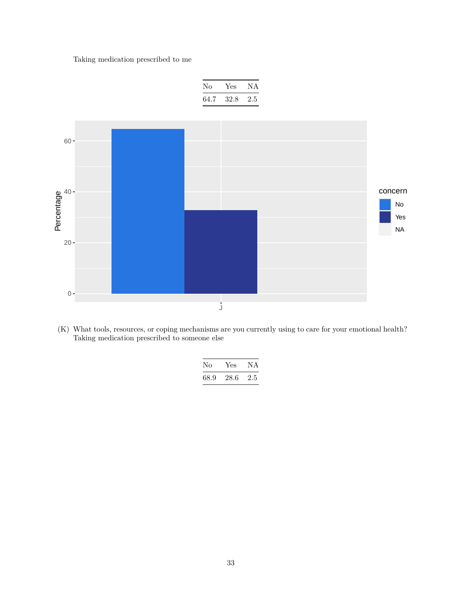Taking medication prescribed to me



(K) What tools, resources, or coping mechanisms are you currently using to care for your emotional health? Taking medication prescribed to someone else

| Nο   | Yes. | N A |
|------|------|-----|
| 68.9 | 28.6 | 2.5 |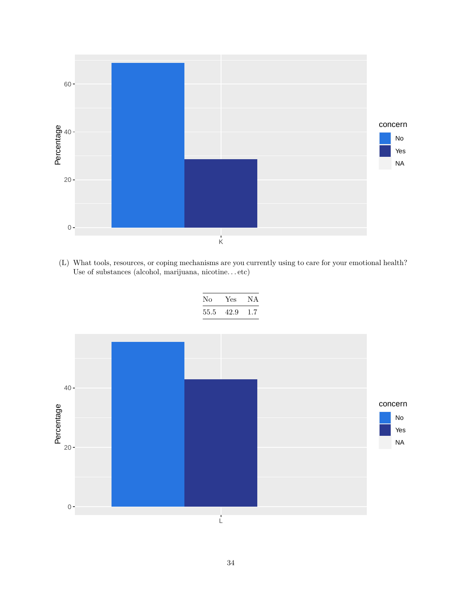

(L) What tools, resources, or coping mechanisms are you currently using to care for your emotional health? Use of substances (alcohol, marijuana, nicotine. . . etc)

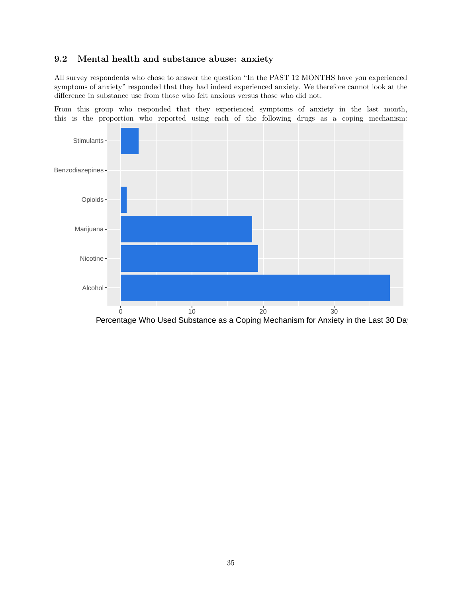#### <span id="page-35-0"></span>**9.2 Mental health and substance abuse: anxiety**

All survey respondents who chose to answer the question "In the PAST 12 MONTHS have you experienced symptoms of anxiety" responded that they had indeed experienced anxiety. We therefore cannot look at the difference in substance use from those who felt anxious versus those who did not.

From this group who responded that they experienced symptoms of anxiety in the last month, this is the proportion who reported using each of the following drugs as a coping mechanism:

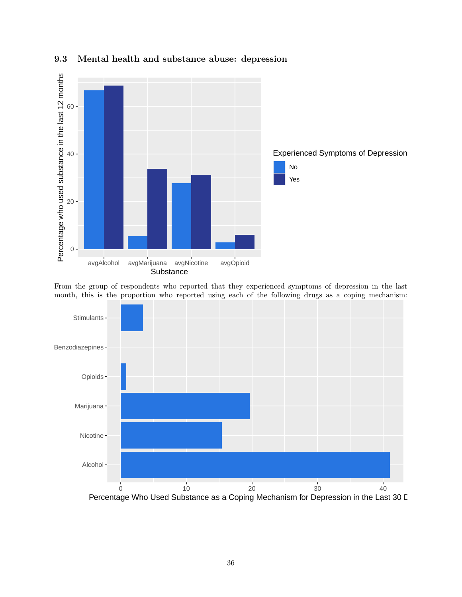

<span id="page-36-0"></span>**9.3 Mental health and substance abuse: depression**

From the group of respondents who reported that they experienced symptoms of depression in the last month, this is the proportion who reported using each of the following drugs as a coping mechanism:

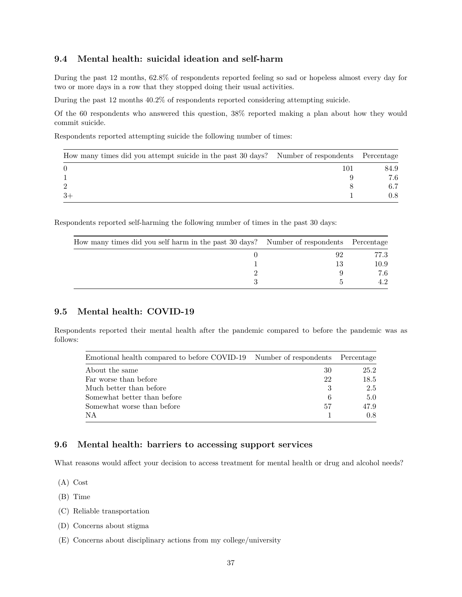#### <span id="page-37-0"></span>**9.4 Mental health: suicidal ideation and self-harm**

During the past 12 months, 62.8% of respondents reported feeling so sad or hopeless almost every day for two or more days in a row that they stopped doing their usual activities.

During the past 12 months 40.2% of respondents reported considering attempting suicide.

Of the 60 respondents who answered this question, 38% reported making a plan about how they would commit suicide.

Respondents reported attempting suicide the following number of times:

| How many times did you attempt suicide in the past 30 days? Number of respondents Percentage |     |      |
|----------------------------------------------------------------------------------------------|-----|------|
| $\Omega$                                                                                     | 101 | 84.9 |
|                                                                                              |     | 7.6  |
| $\overline{2}$                                                                               |     |      |
| $3+$                                                                                         |     |      |

Respondents reported self-harming the following number of times in the past 30 days:

| How many times did you self harm in the past 30 days? Number of respondents Percentage |      |
|----------------------------------------------------------------------------------------|------|
|                                                                                        | 77.3 |
|                                                                                        | 10.9 |
|                                                                                        | 7.6  |
|                                                                                        |      |

#### <span id="page-37-1"></span>**9.5 Mental health: COVID-19**

Respondents reported their mental health after the pandemic compared to before the pandemic was as follows:

| Emotional health compared to before COVID-19 Number of respondents Percentage |    |      |
|-------------------------------------------------------------------------------|----|------|
| About the same                                                                | 30 | 25.2 |
| Far worse than before                                                         | 22 | 18.5 |
| Much better than before                                                       | 3  | 2.5  |
| Somewhat better than before                                                   | 6  | 5.0  |
| Somewhat worse than before                                                    | 57 | 47.9 |
| ΝA                                                                            |    | 0.8  |

#### <span id="page-37-2"></span>**9.6 Mental health: barriers to accessing support services**

What reasons would affect your decision to access treatment for mental health or drug and alcohol needs?

(A) Cost

(B) Time

- (C) Reliable transportation
- (D) Concerns about stigma
- (E) Concerns about disciplinary actions from my college/university